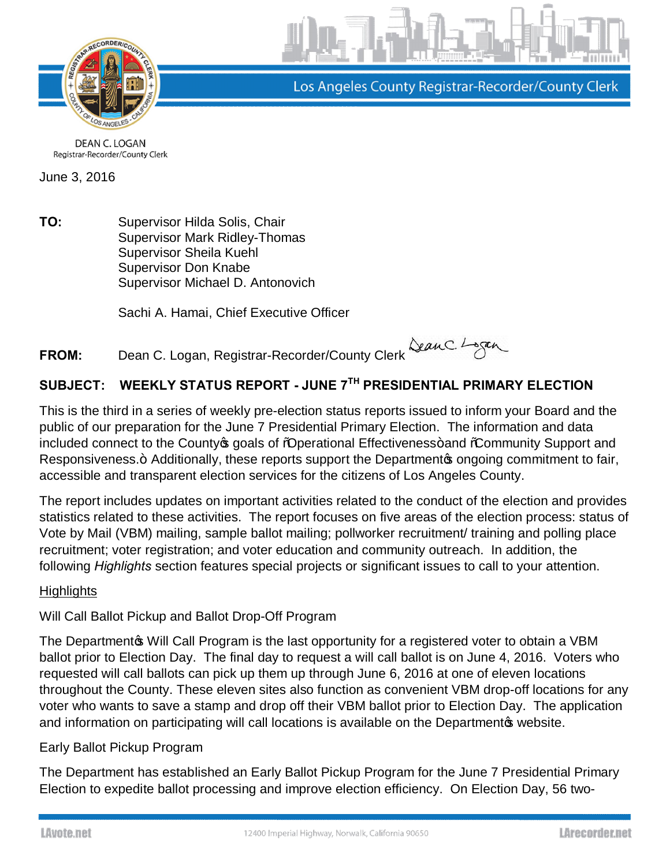

Los Angeles County Registrar-Recorder/County Clerk

**DEAN C. LOGAN** Registrar-Recorder/County Clerk

June 3, 2016

**TO:** Supervisor Hilda Solis, Chair Supervisor Mark Ridley-Thomas Supervisor Sheila Kuehl Supervisor Don Knabe Supervisor Michael D. Antonovich

Sachi A. Hamai, Chief Executive Officer

**FROM:** Dean C. Logan, Registrar-Recorder/County Clerk

# **SUBJECT: WEEKLY STATUS REPORT - JUNE 7TH PRESIDENTIAL PRIMARY ELECTION**

This is the third in a series of weekly pre-election status reports issued to inform your Board and the public of our preparation for the June 7 Presidential Primary Election. The information and data included connect to the County opals of "Operational Effectiveness+ and "Community Support and Responsiveness.+ Additionally, these reports support the Department operation commitment to fair, accessible and transparent election services for the citizens of Los Angeles County.

The report includes updates on important activities related to the conduct of the election and provides statistics related to these activities. The report focuses on five areas of the election process: status of Vote by Mail (VBM) mailing, sample ballot mailing; pollworker recruitment/ training and polling place recruitment; voter registration; and voter education and community outreach. In addition, the following *Highlights* section features special projects or significant issues to call to your attention.

## **Highlights**

## Will Call Ballot Pickup and Ballot Drop-Off Program

The Departmento Will Call Program is the last opportunity for a registered voter to obtain a VBM ballot prior to Election Day. The final day to request a will call ballot is on June 4, 2016. Voters who requested will call ballots can pick up them up through June 6, 2016 at one of eleven locations throughout the County. These eleven sites also function as convenient VBM drop-off locations for any voter who wants to save a stamp and drop off their VBM ballot prior to Election Day. The application and information on participating will call locations is available on the Departmentos [website.](http://lavote.net/home/voting-elections/voting-options/vote-by-mail/will-call-ballot-pick-up)

## Early Ballot Pickup Program

The Department has established an Early Ballot Pickup Program for the June 7 Presidential Primary Election to expedite ballot processing and improve election efficiency. On Election Day, 56 two-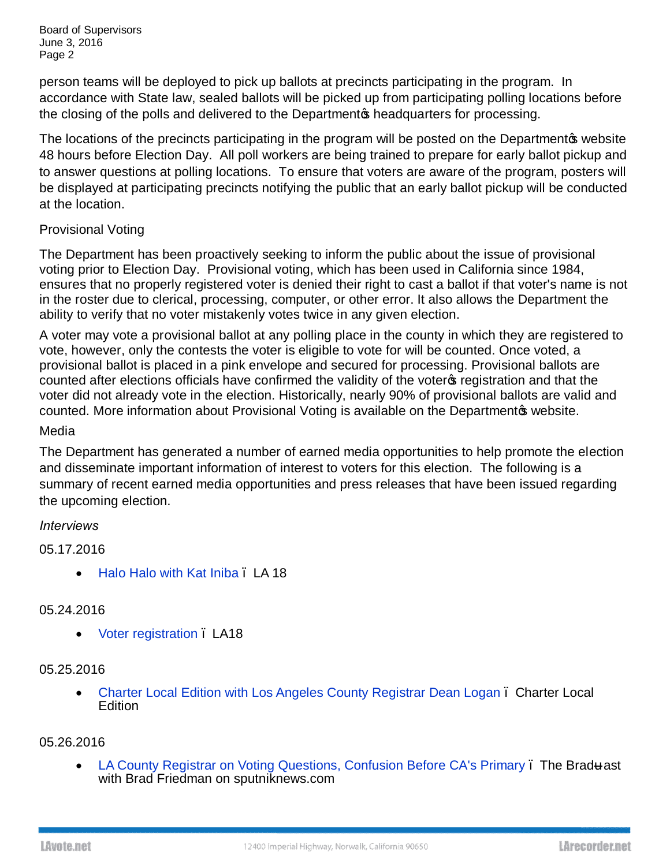Board of Supervisors June 3, 2016 Page 2

person teams will be deployed to pick up ballots at precincts participating in the program. In accordance with State law, sealed ballots will be picked up from participating polling locations before the closing of the polls and delivered to the Department to headquarters for processing.

The locations of the precincts participating in the program will be posted on the Department to website 48 hours before Election Day. All poll workers are being trained to prepare for early ballot pickup and to answer questions at polling locations. To ensure that voters are aware of the program, posters will be displayed at participating precincts notifying the public that an early ballot pickup will be conducted at the location.

## Provisional Voting

The Department has been proactively seeking to inform the public about the issue of provisional voting prior to Election Day. Provisional voting, which has been used in California since 1984, ensures that no properly registered voter is denied their right to cast a ballot if that voter's name is not in the roster due to clerical, processing, computer, or other error. It also allows the Department the ability to verify that no voter mistakenly votes twice in any given election.

A voter may vote a provisional ballot at any polling place in the county in which they are registered to vote, however, only the contests the voter is eligible to vote for will be counted. Once voted, a provisional ballot is placed in a pink envelope and secured for processing. Provisional ballots are counted after elections officials have confirmed the validity of the voter of registration and that the voter did not already vote in the election. Historically, nearly 90% of provisional ballots are valid and counted. More information about Provisional Voting is available on the Departmentos [website.](http://lavote.net/home/voting-elections/voting-options/at-the-polls/provisional-voting)

## Media

The Department has generated a number of earned media opportunities to help promote the election and disseminate important information of interest to voters for this election. The following is a summary of recent earned media opportunities and press releases that have been issued regarding the upcoming election.

## *Interviews*

05.17.2016

• [Halo Halo with Kat Iniba](https://www.youtube.com/watch?v=P3D6Ykp6V6M&feature=youtu.be) . LA 18

## 05.24.2016

· [Voter registration](https://www.youtube.com/watch?v=5cwVUwODNL0&feature=youtu.be) – LA18

#### 05.25.2016

• [Charter Local Edition with Los Angeles County Registrar Dean Logan](https://www.youtube.com/watch?v=yiZPIb6spuI&feature=youtu.be). Charter Local **Edition** 

#### 05.26.2016

· [LA County Registrar on Voting Questions, Confusion Before CA's Primary](http://sputniknews.com/radio_the_bradcast/20160526/1040282158/ca-primary-confusion-concerns.html) – The Brad ast with Brad Friedman on sputniknews.com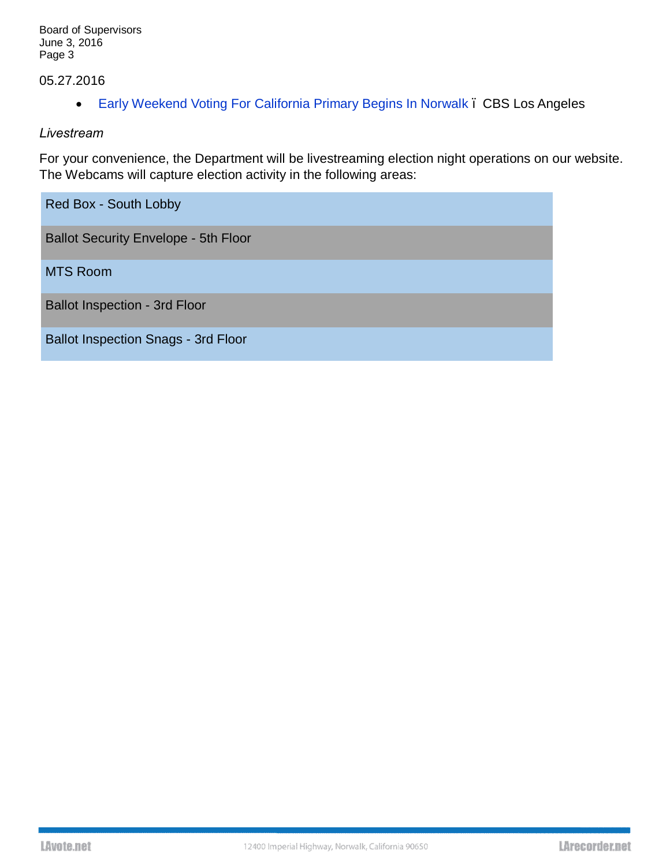# 05.27.2016

· [Early Weekend Voting For California Primary Begins In Norwalk](http://losangeles.cbslocal.com/2016/05/29/early-weekend-voting-for-california-primary-begins-in-norwalk/) – CBS Los Angeles

#### *Livestream*

For your convenience, the Department will be livestreaming election night operations on our [website.](http://lavote.net/home/voting-elections/current-elections/live-feed) The Webcams will capture election activity in the following areas:

| Red Box - South Lobby                       |
|---------------------------------------------|
| <b>Ballot Security Envelope - 5th Floor</b> |
| <b>MTS Room</b>                             |
| <b>Ballot Inspection - 3rd Floor</b>        |
| <b>Ballot Inspection Snags - 3rd Floor</b>  |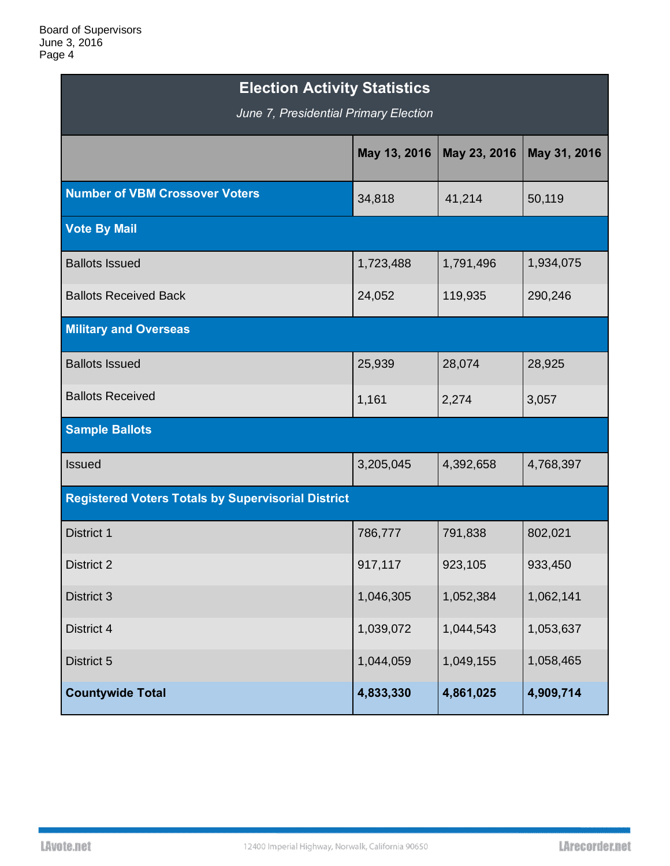| <b>Election Activity Statistics</b><br>June 7, Presidential Primary Election |              |              |              |  |  |  |
|------------------------------------------------------------------------------|--------------|--------------|--------------|--|--|--|
|                                                                              | May 13, 2016 | May 23, 2016 | May 31, 2016 |  |  |  |
| <b>Number of VBM Crossover Voters</b>                                        | 34,818       | 41,214       | 50,119       |  |  |  |
| <b>Vote By Mail</b>                                                          |              |              |              |  |  |  |
| <b>Ballots Issued</b>                                                        | 1,723,488    | 1,791,496    | 1,934,075    |  |  |  |
| <b>Ballots Received Back</b>                                                 | 24,052       | 119,935      | 290,246      |  |  |  |
| <b>Military and Overseas</b>                                                 |              |              |              |  |  |  |
| <b>Ballots Issued</b>                                                        | 25,939       | 28,074       | 28,925       |  |  |  |
| <b>Ballots Received</b>                                                      | 1,161        | 2,274        | 3,057        |  |  |  |
| <b>Sample Ballots</b>                                                        |              |              |              |  |  |  |
| <b>Issued</b>                                                                | 3,205,045    | 4,392,658    | 4,768,397    |  |  |  |
| <b>Registered Voters Totals by Supervisorial District</b>                    |              |              |              |  |  |  |
| District 1                                                                   | 786,777      | 791,838      | 802,021      |  |  |  |
| District 2                                                                   | 917,117      | 923,105      | 933,450      |  |  |  |
| District 3                                                                   | 1,046,305    | 1,052,384    | 1,062,141    |  |  |  |
| District 4                                                                   | 1,039,072    | 1,044,543    | 1,053,637    |  |  |  |
| District 5                                                                   | 1,044,059    | 1,049,155    | 1,058,465    |  |  |  |
| <b>Countywide Total</b>                                                      | 4,833,330    | 4,861,025    | 4,909,714    |  |  |  |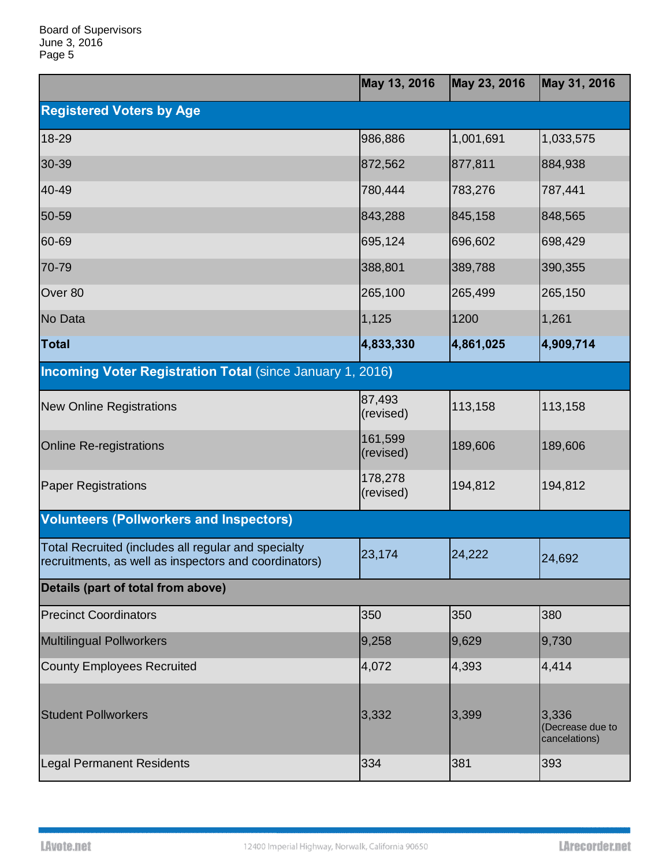|                                                                                                              | May 13, 2016         | May 23, 2016 | May 31, 2016                               |
|--------------------------------------------------------------------------------------------------------------|----------------------|--------------|--------------------------------------------|
| <b>Registered Voters by Age</b>                                                                              |                      |              |                                            |
| 18-29                                                                                                        | 986,886              | 1,001,691    | 1,033,575                                  |
| 30-39                                                                                                        | 872,562              | 877,811      | 884,938                                    |
| 40-49                                                                                                        | 780,444              | 783,276      | 787,441                                    |
| 50-59                                                                                                        | 843,288              | 845,158      | 848,565                                    |
| 60-69                                                                                                        | 695,124              | 696,602      | 698,429                                    |
| 70-79                                                                                                        | 388,801              | 389,788      | 390,355                                    |
| Over 80                                                                                                      | 265,100              | 265,499      | 265,150                                    |
| No Data                                                                                                      | 1,125                | 1200         | 1,261                                      |
| <b>Total</b>                                                                                                 | 4,833,330            | 4,861,025    | 4,909,714                                  |
| <b>Incoming Voter Registration Total (since January 1, 2016)</b>                                             |                      |              |                                            |
| <b>New Online Registrations</b>                                                                              | 87,493<br>(revised)  | 113,158      | 113,158                                    |
| <b>Online Re-registrations</b>                                                                               | 161,599<br>(revised) | 189,606      | 189,606                                    |
| <b>Paper Registrations</b>                                                                                   | 178,278<br>(revised) | 194,812      | 194,812                                    |
| <b>Volunteers (Pollworkers and Inspectors)</b>                                                               |                      |              |                                            |
| Total Recruited (includes all regular and specialty<br>recruitments, as well as inspectors and coordinators) | 23,174               | 24,222       | 24,692                                     |
| Details (part of total from above)                                                                           |                      |              |                                            |
| <b>Precinct Coordinators</b>                                                                                 | 350                  | 350          | 380                                        |
| <b>Multilingual Pollworkers</b>                                                                              | 9,258                | 9,629        | 9,730                                      |
| <b>County Employees Recruited</b>                                                                            | 4,072                | 4,393        | 4,414                                      |
| <b>Student Pollworkers</b>                                                                                   | 3,332                | 3,399        | 3,336<br>(Decrease due to<br>cancelations) |
| <b>Legal Permanent Residents</b>                                                                             | 334                  | 381          | 393                                        |